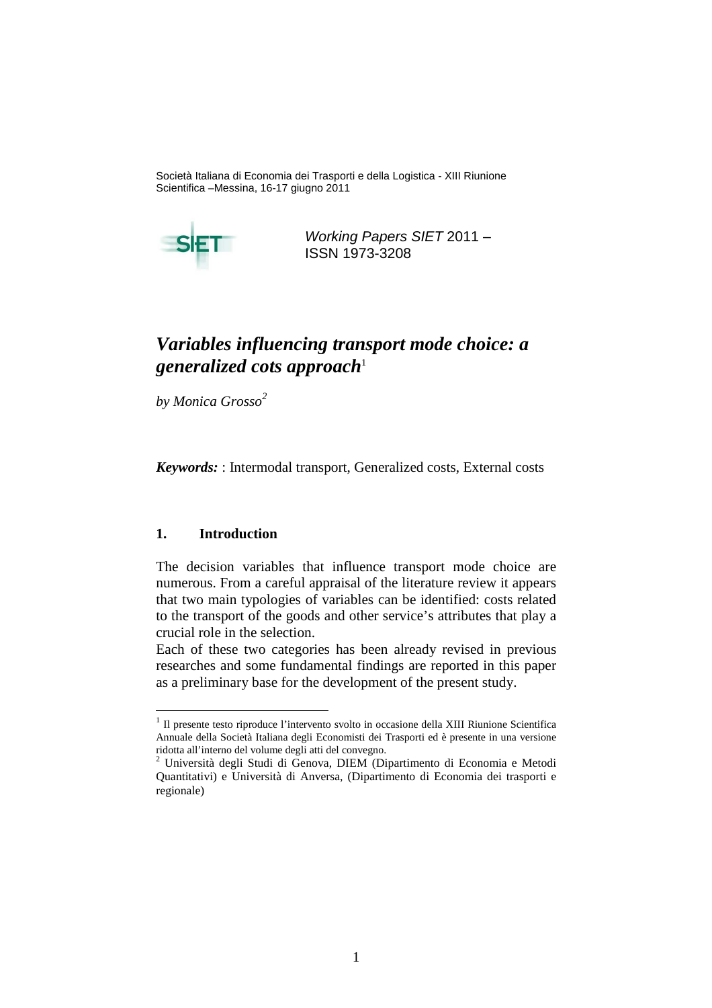Società Italiana di Economia dei Trasporti e della Logistica - XIII Riunione Scientifica –Messina, 16-17 giugno 2011



Working Papers SIET 2011 – ISSN 1973-3208

# *Variables influencing transport mode choice: a generalized cots approach*<sup>1</sup>

*by Monica Grosso<sup>2</sup>*

*Keywords:* : Intermodal transport, Generalized costs, External costs

### **1. Introduction**

 $\overline{a}$ 

The decision variables that influence transport mode choice are numerous. From a careful appraisal of the literature review it appears that two main typologies of variables can be identified: costs related to the transport of the goods and other service's attributes that play a crucial role in the selection.

Each of these two categories has been already revised in previous researches and some fundamental findings are reported in this paper as a preliminary base for the development of the present study.

<sup>&</sup>lt;sup>1</sup> Il presente testo riproduce l'intervento svolto in occasione della XIII Riunione Scientifica Annuale della Società Italiana degli Economisti dei Trasporti ed è presente in una versione ridotta all'interno del volume degli atti del convegno.<br><sup>2</sup> Università degli Studi di Geneve, DIEM (Di

Università degli Studi di Genova, DIEM (Dipartimento di Economia e Metodi Quantitativi) e Università di Anversa, (Dipartimento di Economia dei trasporti e regionale)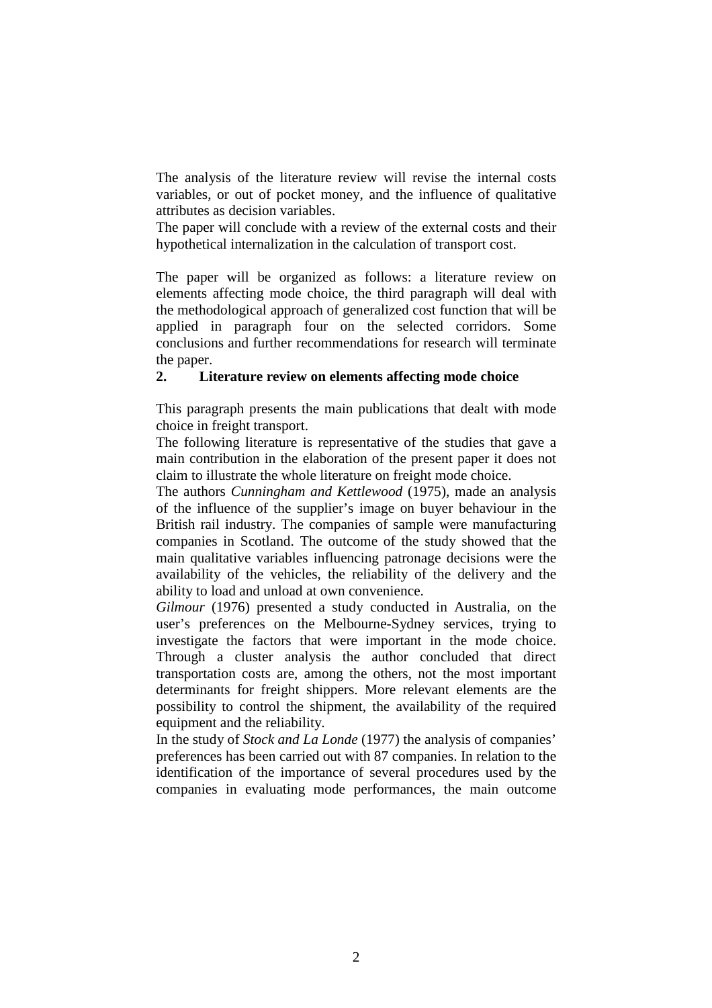The analysis of the literature review will revise the internal costs variables, or out of pocket money, and the influence of qualitative attributes as decision variables.

The paper will conclude with a review of the external costs and their hypothetical internalization in the calculation of transport cost.

The paper will be organized as follows: a literature review on elements affecting mode choice, the third paragraph will deal with the methodological approach of generalized cost function that will be applied in paragraph four on the selected corridors. Some conclusions and further recommendations for research will terminate the paper.

# **2. Literature review on elements affecting mode choice**

This paragraph presents the main publications that dealt with mode choice in freight transport.

The following literature is representative of the studies that gave a main contribution in the elaboration of the present paper it does not claim to illustrate the whole literature on freight mode choice.

The authors *Cunningham and Kettlewood* (1975), made an analysis of the influence of the supplier's image on buyer behaviour in the British rail industry. The companies of sample were manufacturing companies in Scotland. The outcome of the study showed that the main qualitative variables influencing patronage decisions were the availability of the vehicles, the reliability of the delivery and the ability to load and unload at own convenience.

*Gilmour* (1976) presented a study conducted in Australia, on the user's preferences on the Melbourne-Sydney services, trying to investigate the factors that were important in the mode choice. Through a cluster analysis the author concluded that direct transportation costs are, among the others, not the most important determinants for freight shippers. More relevant elements are the possibility to control the shipment, the availability of the required equipment and the reliability.

In the study of *Stock and La Londe* (1977) the analysis of companies' preferences has been carried out with 87 companies. In relation to the identification of the importance of several procedures used by the companies in evaluating mode performances, the main outcome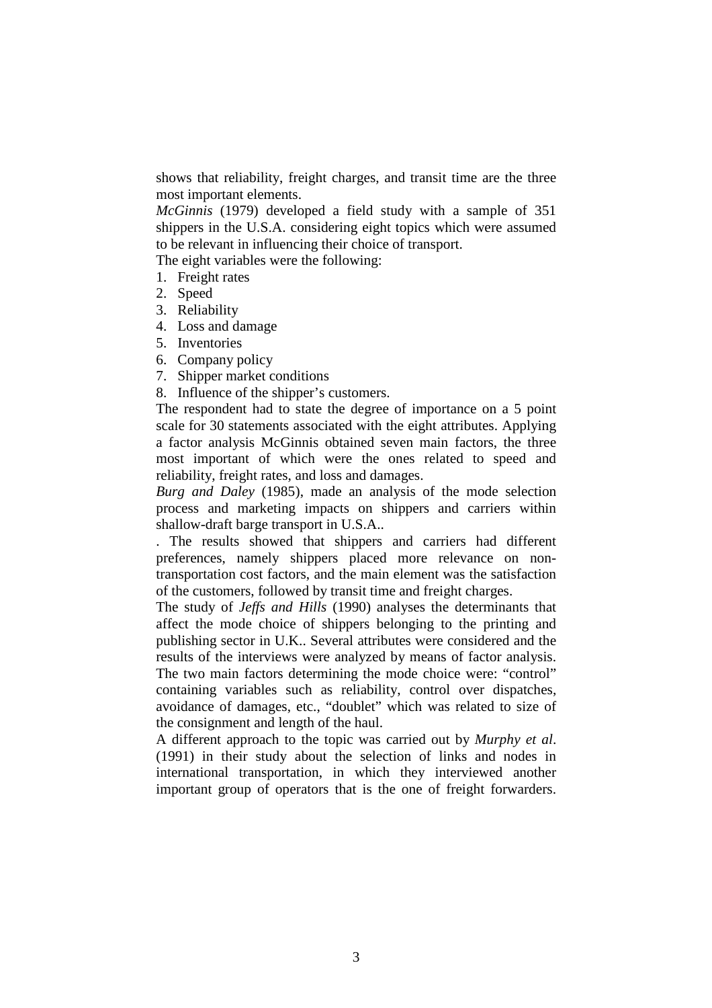shows that reliability, freight charges, and transit time are the three most important elements.

*McGinnis* (1979) developed a field study with a sample of 351 shippers in the U.S.A. considering eight topics which were assumed to be relevant in influencing their choice of transport.

The eight variables were the following:

- 1. Freight rates
- 2. Speed
- 3. Reliability
- 4. Loss and damage
- 5. Inventories
- 6. Company policy
- 7. Shipper market conditions
- 8. Influence of the shipper's customers.

The respondent had to state the degree of importance on a 5 point scale for 30 statements associated with the eight attributes. Applying a factor analysis McGinnis obtained seven main factors, the three most important of which were the ones related to speed and reliability, freight rates, and loss and damages.

*Burg and Daley* (1985), made an analysis of the mode selection process and marketing impacts on shippers and carriers within shallow-draft barge transport in U.S.A..

. The results showed that shippers and carriers had different preferences, namely shippers placed more relevance on nontransportation cost factors, and the main element was the satisfaction of the customers, followed by transit time and freight charges.

The study of *Jeffs and Hills* (1990) analyses the determinants that affect the mode choice of shippers belonging to the printing and publishing sector in U.K.. Several attributes were considered and the results of the interviews were analyzed by means of factor analysis. The two main factors determining the mode choice were: "control" containing variables such as reliability, control over dispatches, avoidance of damages, etc., "doublet" which was related to size of the consignment and length of the haul.

A different approach to the topic was carried out by *Murphy et al*. (1991) in their study about the selection of links and nodes in international transportation, in which they interviewed another important group of operators that is the one of freight forwarders.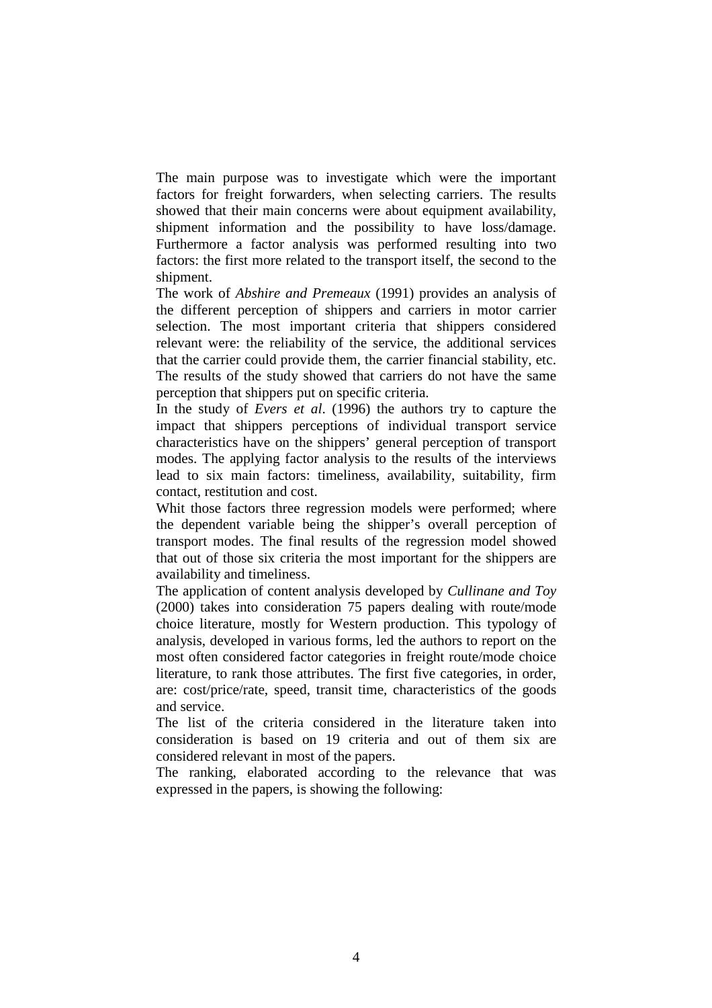The main purpose was to investigate which were the important factors for freight forwarders, when selecting carriers. The results showed that their main concerns were about equipment availability, shipment information and the possibility to have loss/damage. Furthermore a factor analysis was performed resulting into two factors: the first more related to the transport itself, the second to the shipment.

The work of *Abshire and Premeaux* (1991) provides an analysis of the different perception of shippers and carriers in motor carrier selection. The most important criteria that shippers considered relevant were: the reliability of the service, the additional services that the carrier could provide them, the carrier financial stability, etc. The results of the study showed that carriers do not have the same perception that shippers put on specific criteria.

In the study of *Evers et al*. (1996) the authors try to capture the impact that shippers perceptions of individual transport service characteristics have on the shippers' general perception of transport modes. The applying factor analysis to the results of the interviews lead to six main factors: timeliness, availability, suitability, firm contact, restitution and cost.

Whit those factors three regression models were performed; where the dependent variable being the shipper's overall perception of transport modes. The final results of the regression model showed that out of those six criteria the most important for the shippers are availability and timeliness.

The application of content analysis developed by *Cullinane and Toy* (2000) takes into consideration 75 papers dealing with route/mode choice literature, mostly for Western production. This typology of analysis, developed in various forms, led the authors to report on the most often considered factor categories in freight route/mode choice literature, to rank those attributes. The first five categories, in order, are: cost/price/rate, speed, transit time, characteristics of the goods and service.

The list of the criteria considered in the literature taken into consideration is based on 19 criteria and out of them six are considered relevant in most of the papers.

The ranking, elaborated according to the relevance that was expressed in the papers, is showing the following: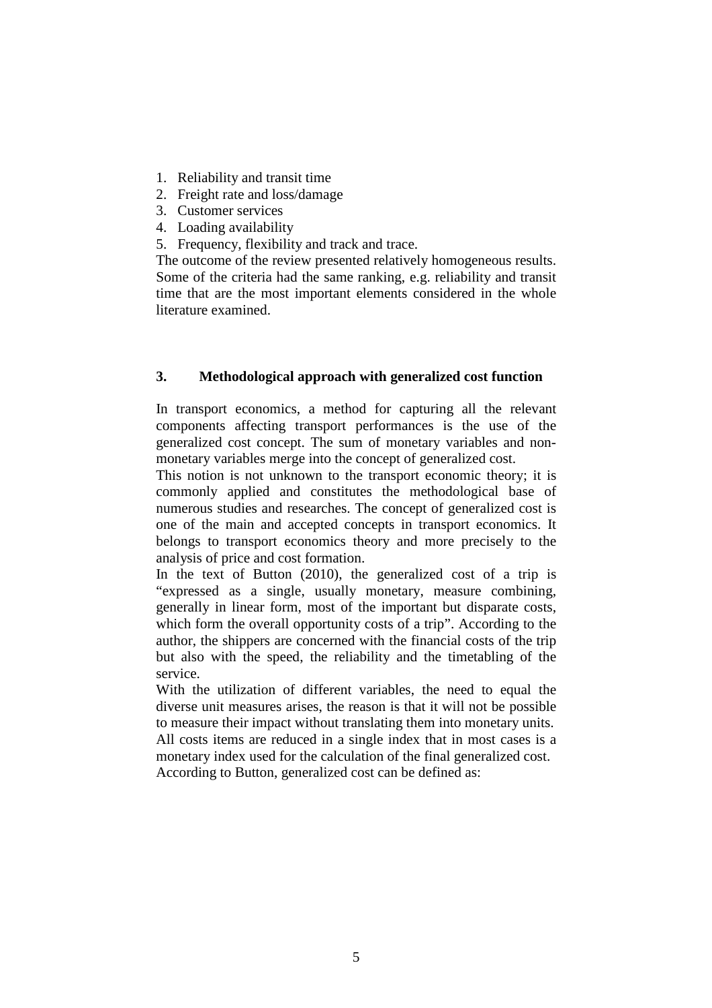- 1. Reliability and transit time
- 2. Freight rate and loss/damage
- 3. Customer services
- 4. Loading availability
- 5. Frequency, flexibility and track and trace.

The outcome of the review presented relatively homogeneous results. Some of the criteria had the same ranking, e.g. reliability and transit time that are the most important elements considered in the whole literature examined.

# **3. Methodological approach with generalized cost function**

In transport economics, a method for capturing all the relevant components affecting transport performances is the use of the generalized cost concept. The sum of monetary variables and nonmonetary variables merge into the concept of generalized cost.

This notion is not unknown to the transport economic theory; it is commonly applied and constitutes the methodological base of numerous studies and researches. The concept of generalized cost is one of the main and accepted concepts in transport economics. It belongs to transport economics theory and more precisely to the analysis of price and cost formation.

In the text of Button (2010), the generalized cost of a trip is "expressed as a single, usually monetary, measure combining, generally in linear form, most of the important but disparate costs, which form the overall opportunity costs of a trip". According to the author, the shippers are concerned with the financial costs of the trip but also with the speed, the reliability and the timetabling of the service.

With the utilization of different variables, the need to equal the diverse unit measures arises, the reason is that it will not be possible to measure their impact without translating them into monetary units. All costs items are reduced in a single index that in most cases is a monetary index used for the calculation of the final generalized cost. According to Button, generalized cost can be defined as: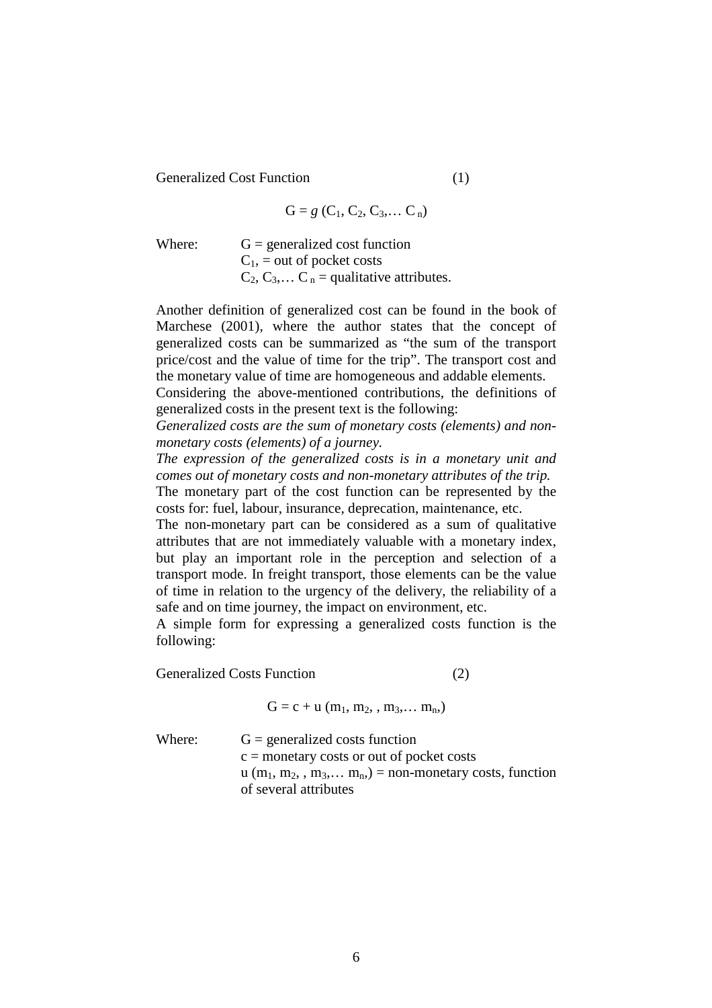Generalized Cost Function (1)

$$
G = g (C_1, C_2, C_3, \dots C_n)
$$

Where:  $G =$  generalized cost function  $C_1$ , = out of pocket costs  $C_2, C_3,... C_n$  = qualitative attributes.

Another definition of generalized cost can be found in the book of Marchese (2001), where the author states that the concept of generalized costs can be summarized as "the sum of the transport price/cost and the value of time for the trip". The transport cost and the monetary value of time are homogeneous and addable elements.

Considering the above-mentioned contributions, the definitions of generalized costs in the present text is the following:

*Generalized costs are the sum of monetary costs (elements) and nonmonetary costs (elements) of a journey.* 

*The expression of the generalized costs is in a monetary unit and comes out of monetary costs and non-monetary attributes of the trip.* 

The monetary part of the cost function can be represented by the costs for: fuel, labour, insurance, deprecation, maintenance, etc.

The non-monetary part can be considered as a sum of qualitative attributes that are not immediately valuable with a monetary index, but play an important role in the perception and selection of a transport mode. In freight transport, those elements can be the value of time in relation to the urgency of the delivery, the reliability of a safe and on time journey, the impact on environment, etc.

A simple form for expressing a generalized costs function is the following:

Generalized Costs Function (2)

 $G = c + u (m_1, m_2, , m_3, \ldots m_n)$ 

| Where: | $G =$ generalized costs function                                                                          |
|--------|-----------------------------------------------------------------------------------------------------------|
|        | $c =$ monetary costs or out of pocket costs                                                               |
|        | $u$ (m <sub>1</sub> , m <sub>2</sub> , , m <sub>3</sub> , m <sub>n</sub> ) = non-monetary costs, function |
|        | of several attributes                                                                                     |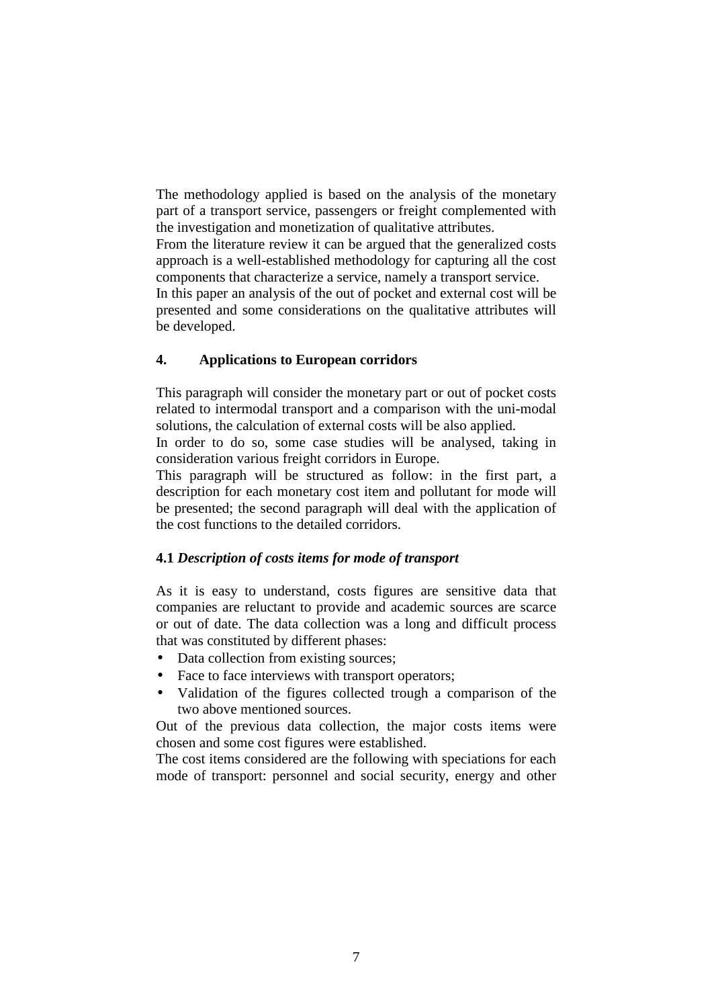The methodology applied is based on the analysis of the monetary part of a transport service, passengers or freight complemented with the investigation and monetization of qualitative attributes.

From the literature review it can be argued that the generalized costs approach is a well-established methodology for capturing all the cost components that characterize a service, namely a transport service.

In this paper an analysis of the out of pocket and external cost will be presented and some considerations on the qualitative attributes will be developed.

# **4. Applications to European corridors**

This paragraph will consider the monetary part or out of pocket costs related to intermodal transport and a comparison with the uni-modal solutions, the calculation of external costs will be also applied.

In order to do so, some case studies will be analysed, taking in consideration various freight corridors in Europe.

This paragraph will be structured as follow: in the first part, a description for each monetary cost item and pollutant for mode will be presented; the second paragraph will deal with the application of the cost functions to the detailed corridors.

# **4.1** *Description of costs items for mode of transport*

As it is easy to understand, costs figures are sensitive data that companies are reluctant to provide and academic sources are scarce or out of date. The data collection was a long and difficult process that was constituted by different phases:

- Data collection from existing sources;
- Face to face interviews with transport operators;
- Validation of the figures collected trough a comparison of the two above mentioned sources.

Out of the previous data collection, the major costs items were chosen and some cost figures were established.

The cost items considered are the following with speciations for each mode of transport: personnel and social security, energy and other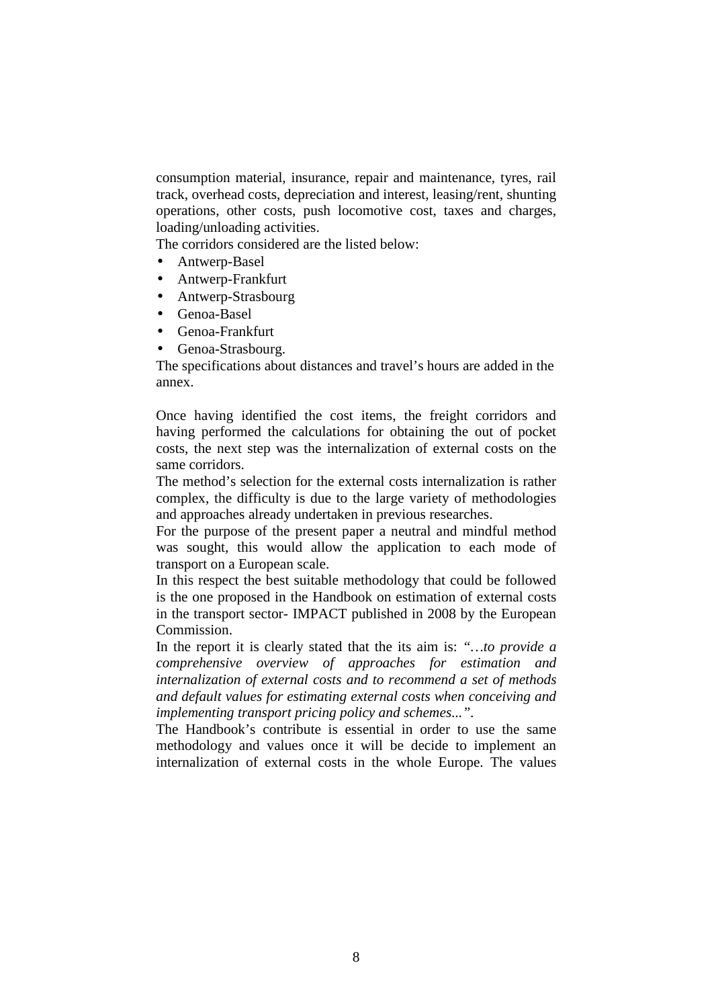consumption material, insurance, repair and maintenance, tyres, rail track, overhead costs, depreciation and interest, leasing/rent, shunting operations, other costs, push locomotive cost, taxes and charges, loading/unloading activities.

The corridors considered are the listed below:

- Antwerp-Basel
- Antwerp-Frankfurt
- Antwerp-Strasbourg
- Genoa-Basel
- Genoa-Frankfurt
- Genoa-Strasbourg.

The specifications about distances and travel's hours are added in the annex.

Once having identified the cost items, the freight corridors and having performed the calculations for obtaining the out of pocket costs, the next step was the internalization of external costs on the same corridors.

The method's selection for the external costs internalization is rather complex, the difficulty is due to the large variety of methodologies and approaches already undertaken in previous researches.

For the purpose of the present paper a neutral and mindful method was sought, this would allow the application to each mode of transport on a European scale.

In this respect the best suitable methodology that could be followed is the one proposed in the Handbook on estimation of external costs in the transport sector- IMPACT published in 2008 by the European Commission.

In the report it is clearly stated that the its aim is: *"…to provide a comprehensive overview of approaches for estimation and internalization of external costs and to recommend a set of methods and default values for estimating external costs when conceiving and implementing transport pricing policy and schemes...".* 

The Handbook's contribute is essential in order to use the same methodology and values once it will be decide to implement an internalization of external costs in the whole Europe. The values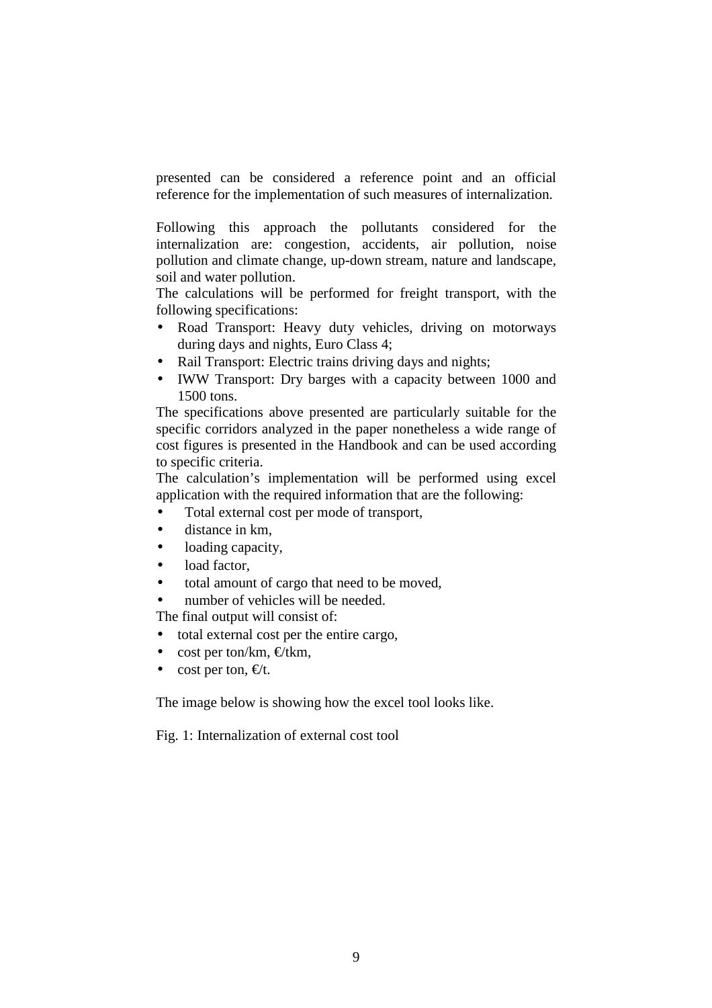presented can be considered a reference point and an official reference for the implementation of such measures of internalization.

Following this approach the pollutants considered for the internalization are: congestion, accidents, air pollution, noise pollution and climate change, up-down stream, nature and landscape, soil and water pollution.

The calculations will be performed for freight transport, with the following specifications:

- Road Transport: Heavy duty vehicles, driving on motorways during days and nights, Euro Class 4;
- Rail Transport: Electric trains driving days and nights:
- IWW Transport: Dry barges with a capacity between 1000 and 1500 tons.

The specifications above presented are particularly suitable for the specific corridors analyzed in the paper nonetheless a wide range of cost figures is presented in the Handbook and can be used according to specific criteria.

The calculation's implementation will be performed using excel application with the required information that are the following:

- Total external cost per mode of transport,
- distance in km,
- loading capacity.
- load factor,
- total amount of cargo that need to be moved,
- number of vehicles will be needed.

The final output will consist of:

- total external cost per the entire cargo,
- cost per ton/km,  $\in$ /tkm,
- cost per ton,  $\epsilon/t$ .

The image below is showing how the excel tool looks like.

Fig. 1: Internalization of external cost tool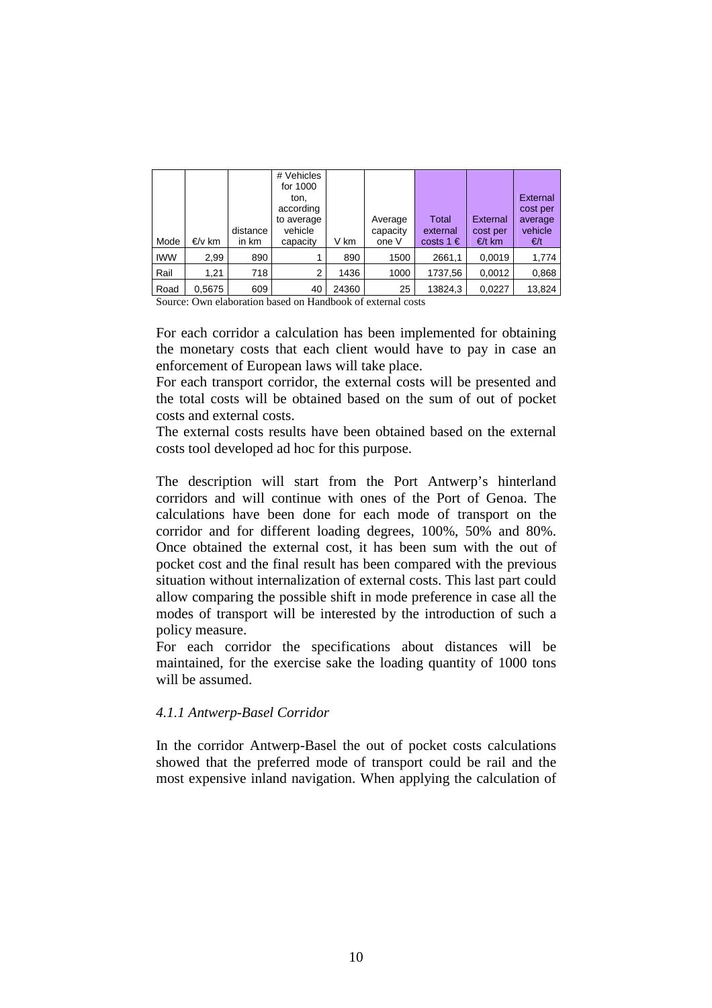| Mode       | €/v km | distance<br>in km | # Vehicles<br>for 1000<br>ton,<br>according<br>to average<br>vehicle<br>capacity | V km  | Average<br>capacity<br>one V | <b>Total</b><br>external<br>costs $1 \in$ | <b>External</b><br>cost per<br>€/t km | External<br>cost per<br>average<br>vehicle<br>€/t |
|------------|--------|-------------------|----------------------------------------------------------------------------------|-------|------------------------------|-------------------------------------------|---------------------------------------|---------------------------------------------------|
| <b>IWW</b> | 2,99   | 890               |                                                                                  | 890   | 1500                         | 2661,1                                    | 0,0019                                | 1,774                                             |
| Rail       | 1.21   | 718               | $\overline{2}$                                                                   | 1436  | 1000                         | 1737,56                                   | 0,0012                                | 0,868                                             |
| Road       | 0,5675 | 609               | 40                                                                               | 24360 | 25                           | 13824,3                                   | 0,0227                                | 13,824                                            |

Source: Own elaboration based on Handbook of external costs

For each corridor a calculation has been implemented for obtaining the monetary costs that each client would have to pay in case an enforcement of European laws will take place.

For each transport corridor, the external costs will be presented and the total costs will be obtained based on the sum of out of pocket costs and external costs.

The external costs results have been obtained based on the external costs tool developed ad hoc for this purpose.

The description will start from the Port Antwerp's hinterland corridors and will continue with ones of the Port of Genoa. The calculations have been done for each mode of transport on the corridor and for different loading degrees, 100%, 50% and 80%. Once obtained the external cost, it has been sum with the out of pocket cost and the final result has been compared with the previous situation without internalization of external costs. This last part could allow comparing the possible shift in mode preference in case all the modes of transport will be interested by the introduction of such a policy measure.

For each corridor the specifications about distances will be maintained, for the exercise sake the loading quantity of 1000 tons will be assumed.

# *4.1.1 Antwerp-Basel Corridor*

In the corridor Antwerp-Basel the out of pocket costs calculations showed that the preferred mode of transport could be rail and the most expensive inland navigation. When applying the calculation of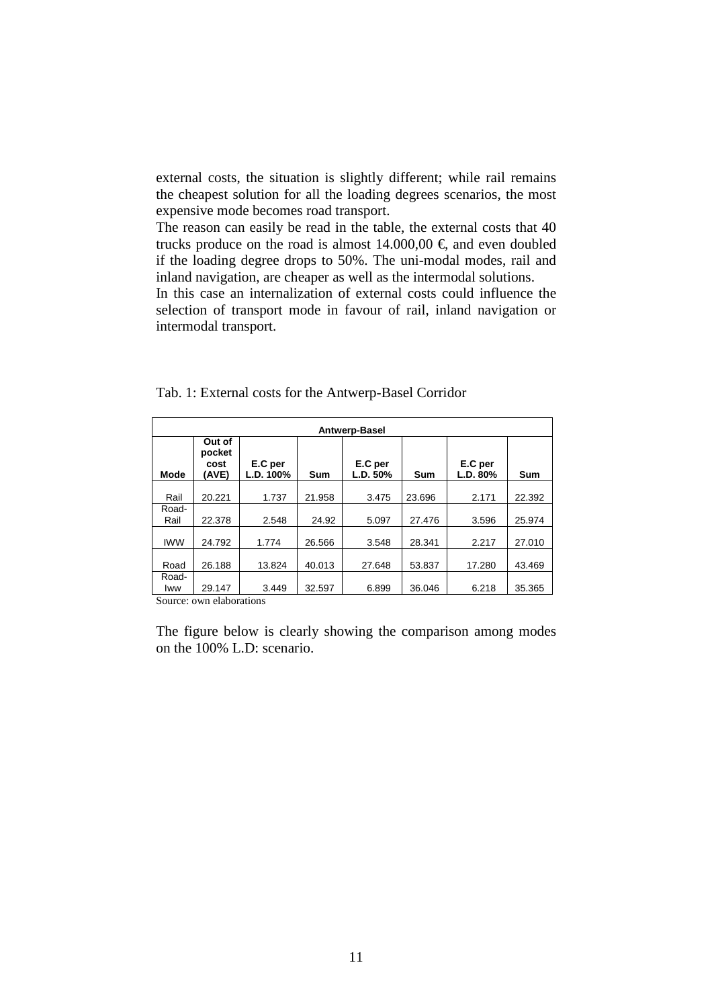external costs, the situation is slightly different; while rail remains the cheapest solution for all the loading degrees scenarios, the most expensive mode becomes road transport.

The reason can easily be read in the table, the external costs that 40 trucks produce on the road is almost  $14.000,00 \in$ , and even doubled if the loading degree drops to 50%. The uni-modal modes, rail and inland navigation, are cheaper as well as the intermodal solutions.

In this case an internalization of external costs could influence the selection of transport mode in favour of rail, inland navigation or intermodal transport.

|               | Antwerp-Basel                     |                      |            |                     |            |                     |        |  |  |  |  |
|---------------|-----------------------------------|----------------------|------------|---------------------|------------|---------------------|--------|--|--|--|--|
| Mode          | Out of<br>pocket<br>cost<br>(AVE) | E.C per<br>L.D. 100% | <b>Sum</b> | E.C per<br>L.D. 50% | <b>Sum</b> | E.C per<br>L.D. 80% | Sum    |  |  |  |  |
| Rail          | 20.221                            | 1.737                | 21.958     | 3.475               | 23.696     | 2.171               | 22.392 |  |  |  |  |
| Road-<br>Rail | 22.378                            | 2.548                | 24.92      | 5.097               | 27.476     | 3.596               | 25.974 |  |  |  |  |
| <b>IWW</b>    | 24.792                            | 1.774                | 26.566     | 3.548               | 28.341     | 2.217               | 27.010 |  |  |  |  |
| Road          | 26.188                            | 13.824               | 40.013     | 27.648              | 53.837     | 17.280              | 43.469 |  |  |  |  |
| Road-<br>Iww  | 29.147                            | 3.449                | 32.597     | 6.899               | 36.046     | 6.218               | 35.365 |  |  |  |  |

Tab. 1: External costs for the Antwerp-Basel Corridor

Source: own elaborations

The figure below is clearly showing the comparison among modes on the 100% L.D: scenario.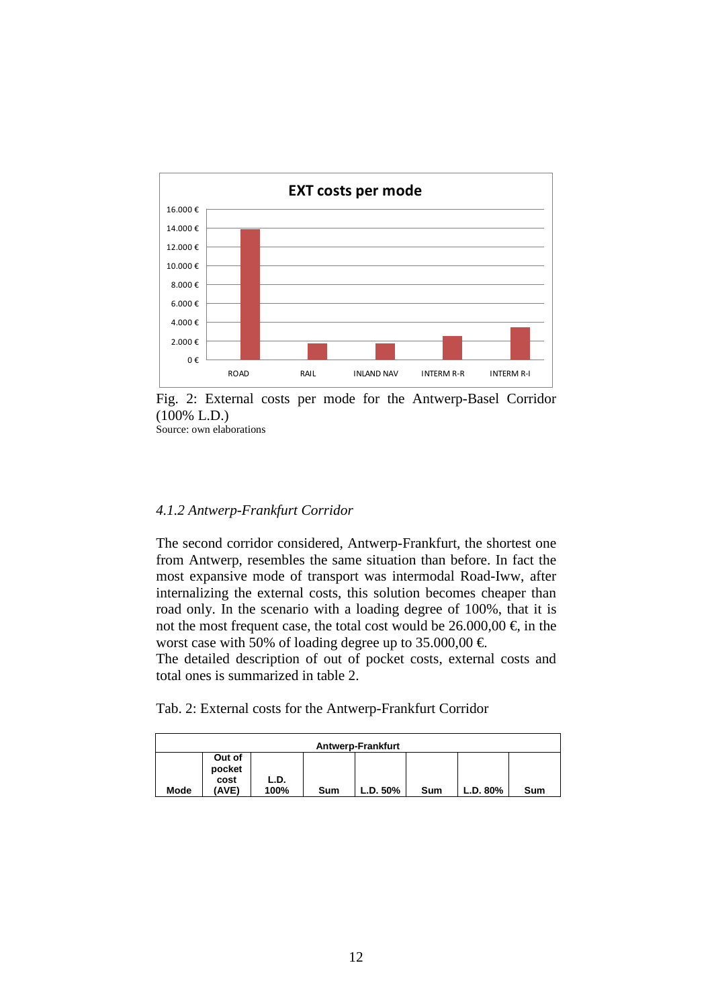

Fig. 2: External costs per mode for the Antwerp-Basel Corridor (100% L.D.)

### *4.1.2 Antwerp-Frankfurt Corridor*

The second corridor considered, Antwerp-Frankfurt, the shortest one from Antwerp, resembles the same situation than before. In fact the most expansive mode of transport was intermodal Road-Iww, after internalizing the external costs, this solution becomes cheaper than road only. In the scenario with a loading degree of 100%, that it is not the most frequent case, the total cost would be  $26.000,00 \in$ , in the worst case with 50% of loading degree up to 35.000,00  $\epsilon$ .

The detailed description of out of pocket costs, external costs and total ones is summarized in table 2.

Tab. 2: External costs for the Antwerp-Frankfurt Corridor

|      | <b>Antwerp-Frankfurt</b> |      |     |          |     |          |     |  |  |  |
|------|--------------------------|------|-----|----------|-----|----------|-----|--|--|--|
|      | Out of<br>pocket<br>cost | L.D. |     |          |     |          |     |  |  |  |
| Mode | 'AVE)                    | 100% | Sum | L.D. 50% | Sum | L.D. 80% | Sum |  |  |  |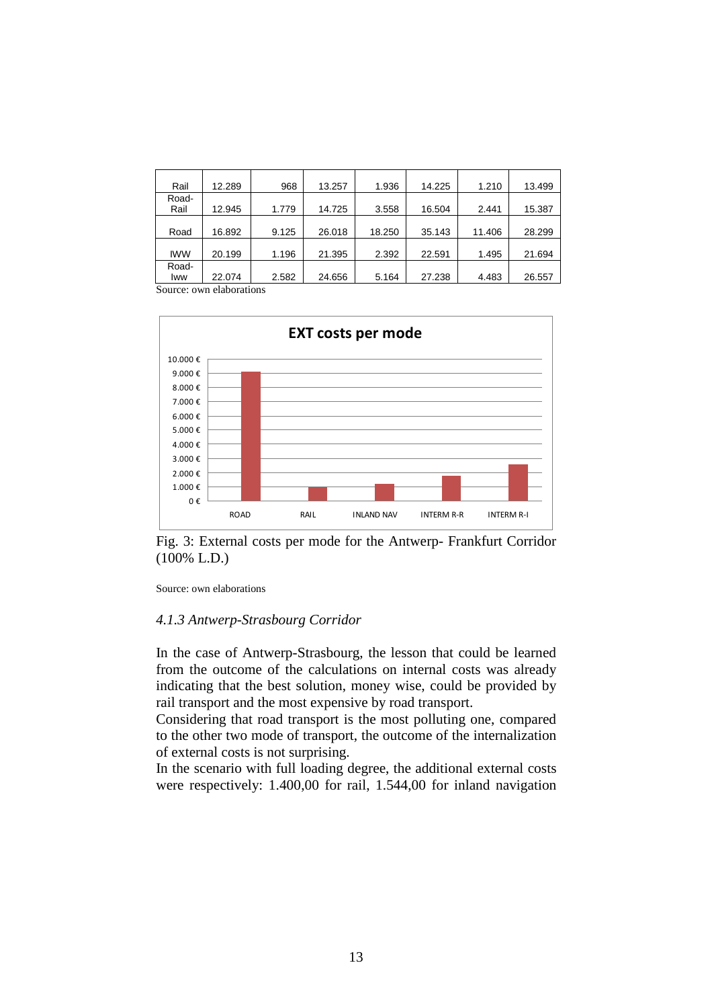| Rail       | 12.289 | 968   | 13.257 | 1.936  | 14.225 | 1.210  | 13.499 |
|------------|--------|-------|--------|--------|--------|--------|--------|
| Road-      |        |       |        |        |        |        |        |
| Rail       | 12.945 | 1.779 | 14.725 | 3.558  | 16.504 | 2.441  | 15.387 |
|            |        |       |        |        |        |        |        |
| Road       | 16.892 | 9.125 | 26.018 | 18.250 | 35.143 | 11.406 | 28.299 |
|            |        |       |        |        |        |        |        |
| <b>IWW</b> | 20.199 | 1.196 | 21.395 | 2.392  | 22.591 | 1.495  | 21.694 |
| Road-      |        |       |        |        |        |        |        |
| lww        | 22.074 | 2.582 | 24.656 | 5.164  | 27.238 | 4.483  | 26.557 |



Fig. 3: External costs per mode for the Antwerp- Frankfurt Corridor (100% L.D.)

Source: own elaborations

#### *4.1.3 Antwerp-Strasbourg Corridor*

In the case of Antwerp-Strasbourg, the lesson that could be learned from the outcome of the calculations on internal costs was already indicating that the best solution, money wise, could be provided by rail transport and the most expensive by road transport.

Considering that road transport is the most polluting one, compared to the other two mode of transport, the outcome of the internalization of external costs is not surprising.

In the scenario with full loading degree, the additional external costs were respectively: 1.400,00 for rail, 1.544,00 for inland navigation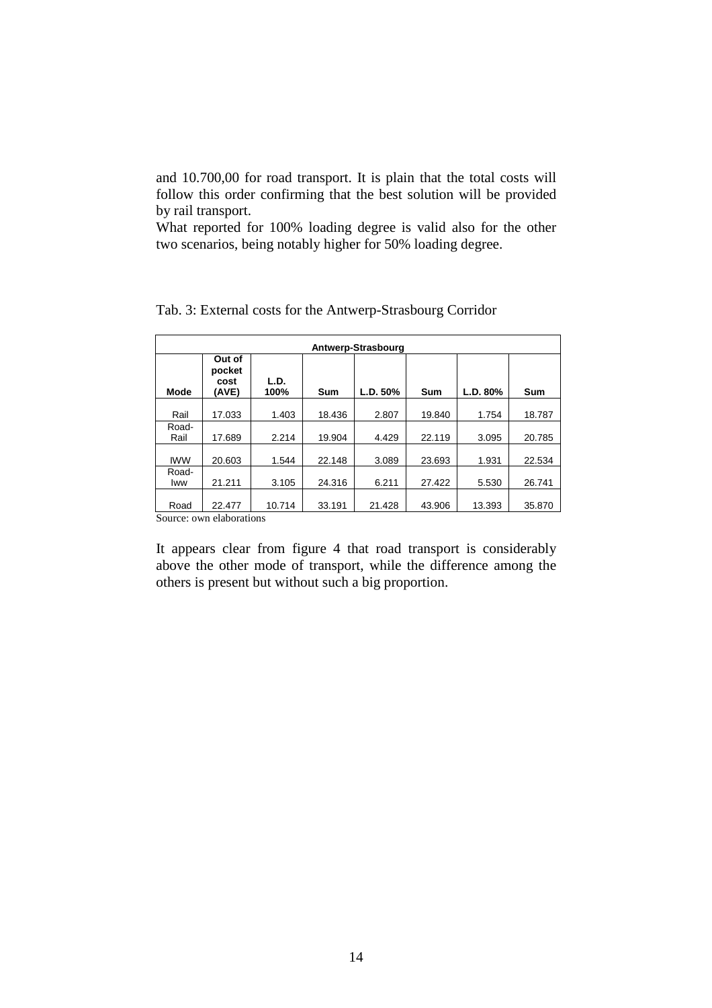and 10.700,00 for road transport. It is plain that the total costs will follow this order confirming that the best solution will be provided by rail transport.

What reported for 100% loading degree is valid also for the other two scenarios, being notably higher for 50% loading degree.

|                | Antwerp-Strasbourg                |              |        |          |            |          |        |  |  |  |  |
|----------------|-----------------------------------|--------------|--------|----------|------------|----------|--------|--|--|--|--|
| Mode           | Out of<br>pocket<br>cost<br>(AVE) | L.D.<br>100% | Sum    | L.D. 50% | <b>Sum</b> | L.D. 80% | Sum    |  |  |  |  |
| Rail           | 17.033                            | 1.403        | 18.436 | 2.807    | 19.840     | 1.754    | 18.787 |  |  |  |  |
| Road-<br>Rail  | 17.689                            | 2.214        | 19.904 | 4.429    | 22.119     | 3.095    | 20.785 |  |  |  |  |
| <b>IWW</b>     | 20.603                            | 1.544        | 22.148 | 3.089    | 23.693     | 1.931    | 22.534 |  |  |  |  |
| Road-<br>Iww   | 21.211                            | 3.105        | 24.316 | 6.211    | 27.422     | 5.530    | 26.741 |  |  |  |  |
| Road<br>$\sim$ | 22.477<br>. .                     | 10.714       | 33.191 | 21.428   | 43.906     | 13.393   | 35.870 |  |  |  |  |

Tab. 3: External costs for the Antwerp-Strasbourg Corridor

Source: own elaborations

It appears clear from figure 4 that road transport is considerably above the other mode of transport, while the difference among the others is present but without such a big proportion.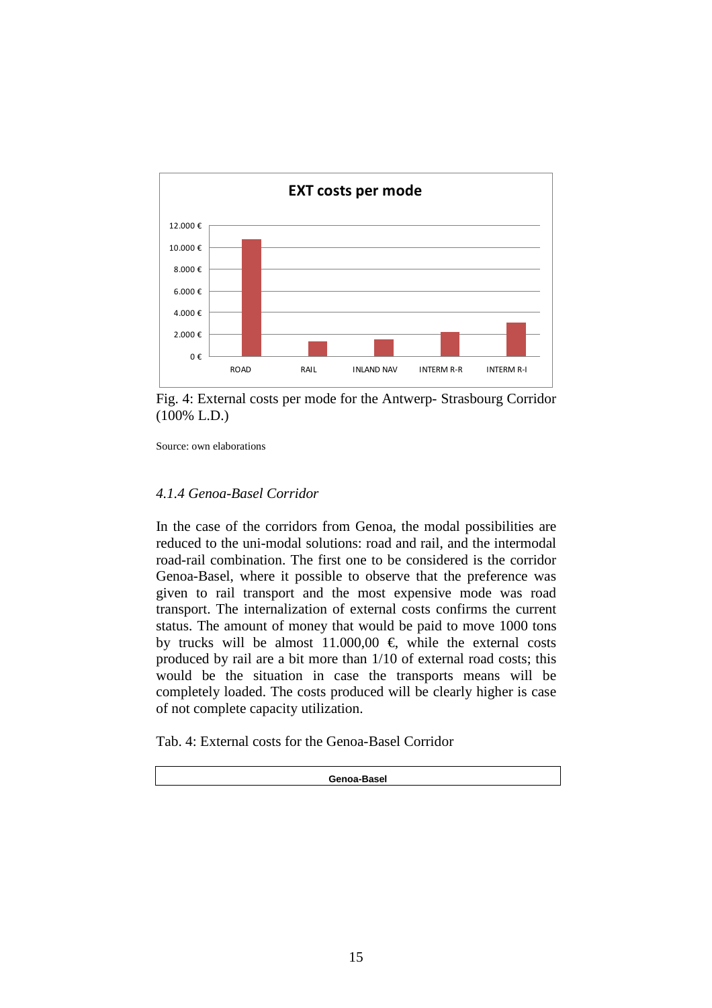

Fig. 4: External costs per mode for the Antwerp- Strasbourg Corridor (100% L.D.)

### *4.1.4 Genoa-Basel Corridor*

In the case of the corridors from Genoa, the modal possibilities are reduced to the uni-modal solutions: road and rail, and the intermodal road-rail combination. The first one to be considered is the corridor Genoa-Basel, where it possible to observe that the preference was given to rail transport and the most expensive mode was road transport. The internalization of external costs confirms the current status. The amount of money that would be paid to move 1000 tons by trucks will be almost 11.000,00  $\epsilon$ , while the external costs produced by rail are a bit more than 1/10 of external road costs; this would be the situation in case the transports means will be completely loaded. The costs produced will be clearly higher is case of not complete capacity utilization.

Tab. 4: External costs for the Genoa-Basel Corridor

**Genoa-Basel**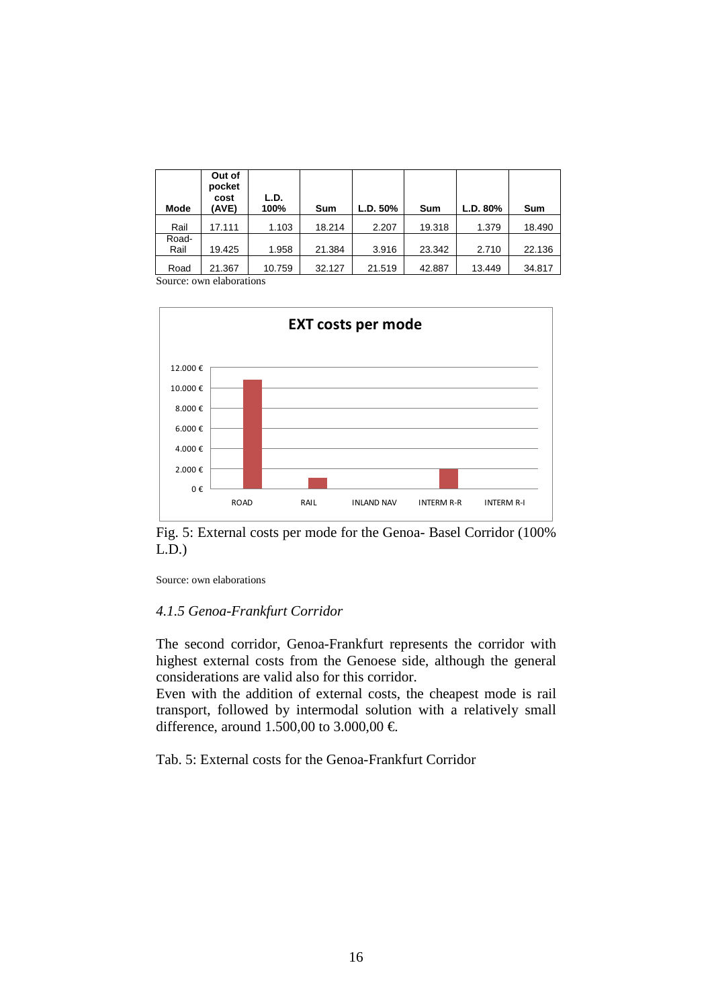| Mode          | Out of<br>pocket<br>cost<br>(AVE) | L.D.<br>100% | Sum    | L.D. 50% | Sum    | L.D. 80% | Sum    |
|---------------|-----------------------------------|--------------|--------|----------|--------|----------|--------|
| Rail          | 17.111                            | 1.103        | 18.214 | 2.207    | 19.318 | 1.379    | 18.490 |
| Road-<br>Rail | 19.425                            | 1.958        | 21.384 | 3.916    | 23.342 | 2.710    | 22.136 |
| Road          | 21.367                            | 10.759       | 32.127 | 21.519   | 42.887 | 13.449   | 34.817 |



Fig. 5: External costs per mode for the Genoa- Basel Corridor (100% L.D.)

Source: own elaborations

### *4.1.5 Genoa-Frankfurt Corridor*

The second corridor, Genoa-Frankfurt represents the corridor with highest external costs from the Genoese side, although the general considerations are valid also for this corridor.

Even with the addition of external costs, the cheapest mode is rail transport, followed by intermodal solution with a relatively small difference, around 1.500,00 to 3.000,00 €.

Tab. 5: External costs for the Genoa-Frankfurt Corridor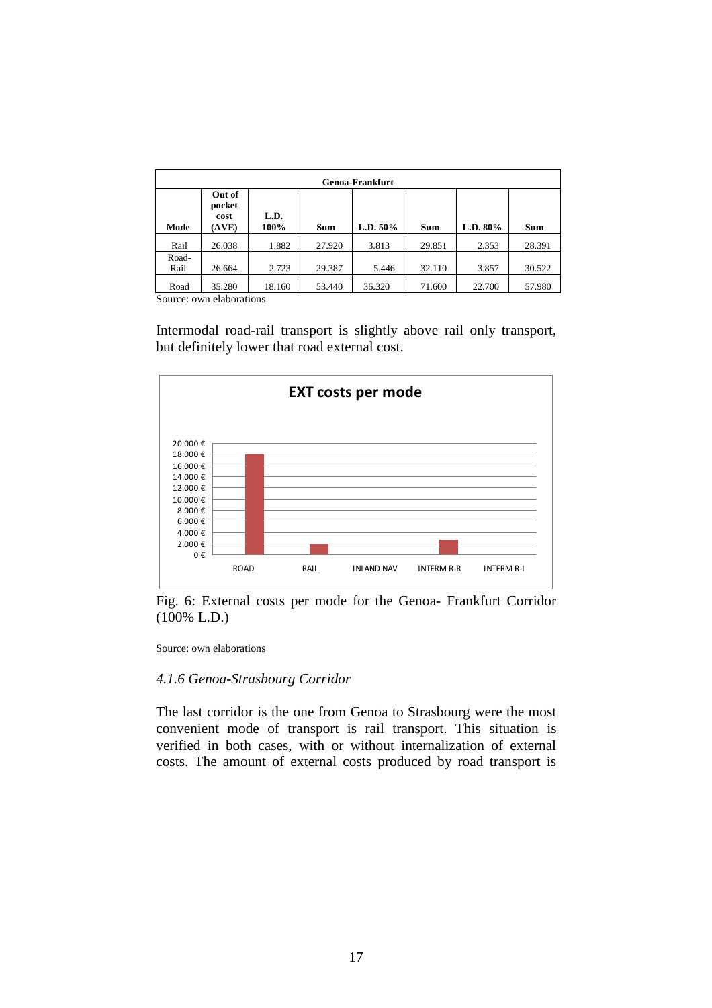| <b>Genoa-Frankfurt</b> |                                   |              |            |             |            |             |            |  |  |  |  |
|------------------------|-----------------------------------|--------------|------------|-------------|------------|-------------|------------|--|--|--|--|
| Mode                   | Out of<br>pocket<br>cost<br>(AVE) | L.D.<br>100% | <b>Sum</b> | L.D. $50\%$ | <b>Sum</b> | L.D. $80\%$ | <b>Sum</b> |  |  |  |  |
| Rail                   | 26.038                            | 1.882        | 27.920     | 3.813       | 29.851     | 2.353       | 28.391     |  |  |  |  |
| Road-<br>Rail          | 26.664                            | 2.723        | 29.387     | 5.446       | 32.110     | 3.857       | 30.522     |  |  |  |  |
| Road                   | 35.280                            | 18.160       | 53.440     | 36.320      | 71.600     | 22.700      | 57.980     |  |  |  |  |

Intermodal road-rail transport is slightly above rail only transport, but definitely lower that road external cost.



Fig. 6: External costs per mode for the Genoa- Frankfurt Corridor (100% L.D.)

Source: own elaborations

# *4.1.6 Genoa-Strasbourg Corridor*

The last corridor is the one from Genoa to Strasbourg were the most convenient mode of transport is rail transport. This situation is verified in both cases, with or without internalization of external costs. The amount of external costs produced by road transport is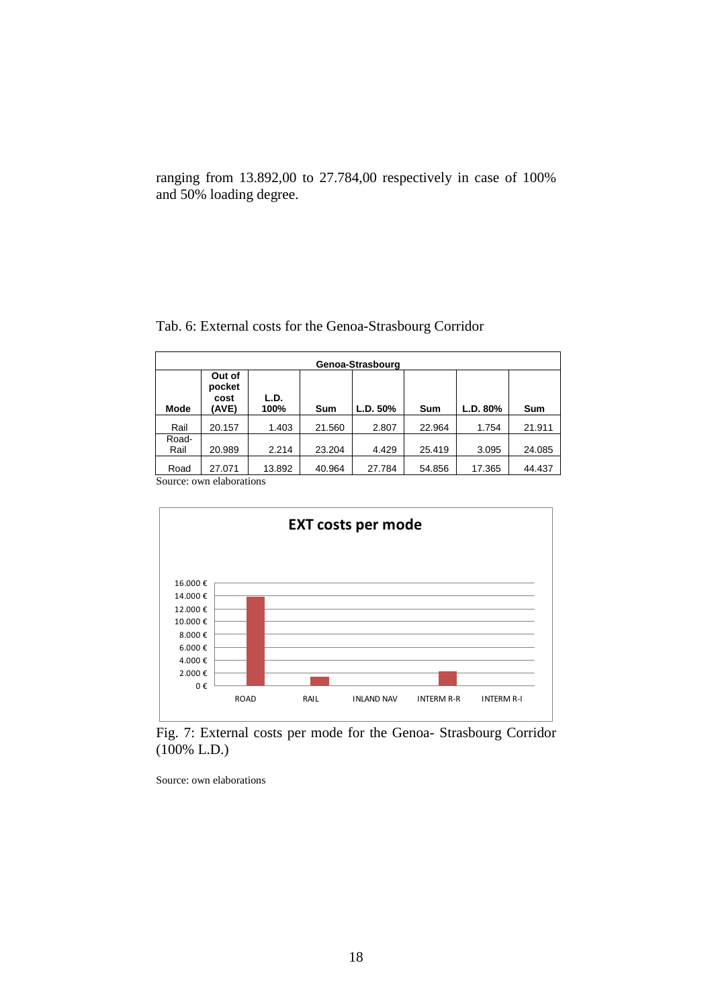ranging from 13.892,00 to 27.784,00 respectively in case of 100% and 50% loading degree.

|  |  |  |  | Tab. 6: External costs for the Genoa-Strasbourg Corridor |
|--|--|--|--|----------------------------------------------------------|
|  |  |  |  |                                                          |

|                | Genoa-Strasbourg                      |              |        |          |        |          |        |  |  |  |  |
|----------------|---------------------------------------|--------------|--------|----------|--------|----------|--------|--|--|--|--|
| Mode           | Out of<br>pocket<br>cost<br>(AVE)     | L.D.<br>100% | Sum    | L.D. 50% | Sum    | L.D. 80% | Sum    |  |  |  |  |
| Rail           | 20.157                                | 1.403        | 21.560 | 2.807    | 22.964 | 1.754    | 21.911 |  |  |  |  |
| Road-          |                                       |              |        |          |        |          |        |  |  |  |  |
| Rail           | 20.989                                | 2.214        | 23.204 | 4.429    | 25.419 | 3.095    | 24.085 |  |  |  |  |
| Road<br>$\sim$ | 27.071<br>$\mathbf{r}$ , $\mathbf{r}$ | 13.892       | 40.964 | 27.784   | 54.856 | 17.365   | 44.437 |  |  |  |  |

Source: own elaborations



Fig. 7: External costs per mode for the Genoa- Strasbourg Corridor (100% L.D.)

Source: own elaborations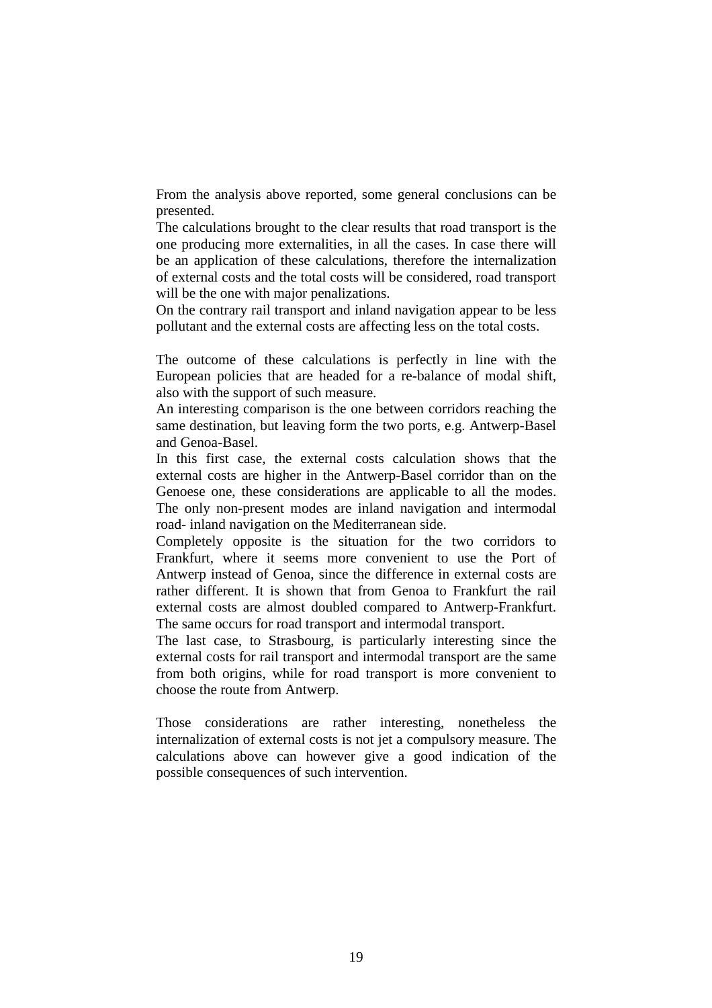From the analysis above reported, some general conclusions can be presented.

The calculations brought to the clear results that road transport is the one producing more externalities, in all the cases. In case there will be an application of these calculations, therefore the internalization of external costs and the total costs will be considered, road transport will be the one with major penalizations.

On the contrary rail transport and inland navigation appear to be less pollutant and the external costs are affecting less on the total costs.

The outcome of these calculations is perfectly in line with the European policies that are headed for a re-balance of modal shift, also with the support of such measure.

An interesting comparison is the one between corridors reaching the same destination, but leaving form the two ports, e.g. Antwerp-Basel and Genoa-Basel.

In this first case, the external costs calculation shows that the external costs are higher in the Antwerp-Basel corridor than on the Genoese one, these considerations are applicable to all the modes. The only non-present modes are inland navigation and intermodal road- inland navigation on the Mediterranean side.

Completely opposite is the situation for the two corridors to Frankfurt, where it seems more convenient to use the Port of Antwerp instead of Genoa, since the difference in external costs are rather different. It is shown that from Genoa to Frankfurt the rail external costs are almost doubled compared to Antwerp-Frankfurt. The same occurs for road transport and intermodal transport.

The last case, to Strasbourg, is particularly interesting since the external costs for rail transport and intermodal transport are the same from both origins, while for road transport is more convenient to choose the route from Antwerp.

Those considerations are rather interesting, nonetheless the internalization of external costs is not jet a compulsory measure. The calculations above can however give a good indication of the possible consequences of such intervention.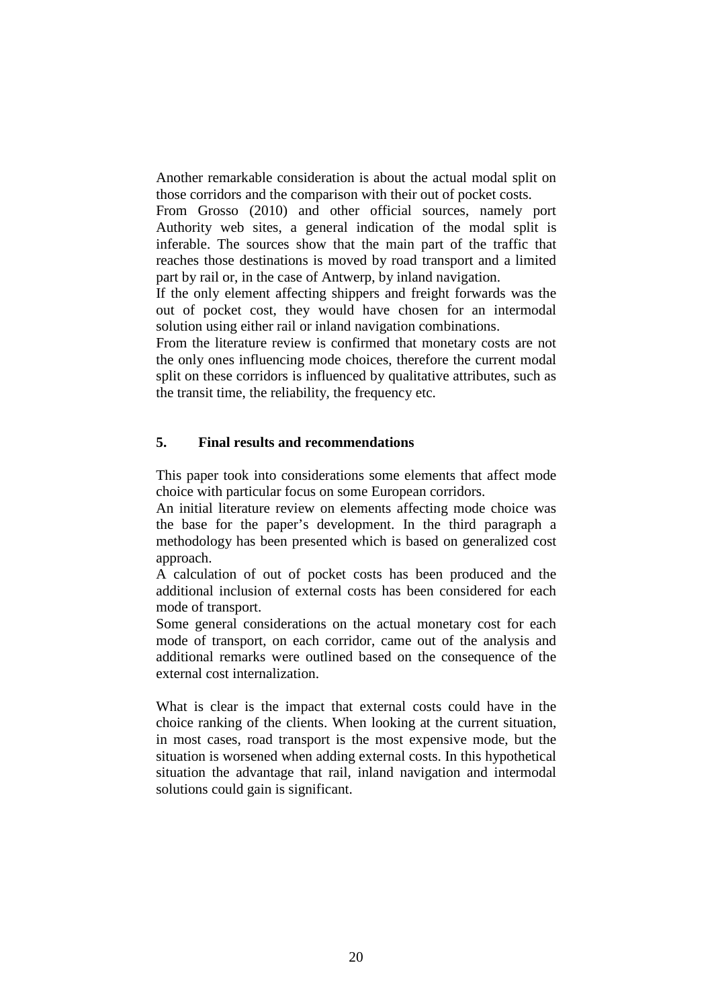Another remarkable consideration is about the actual modal split on those corridors and the comparison with their out of pocket costs.

From Grosso (2010) and other official sources, namely port Authority web sites, a general indication of the modal split is inferable. The sources show that the main part of the traffic that reaches those destinations is moved by road transport and a limited part by rail or, in the case of Antwerp, by inland navigation.

If the only element affecting shippers and freight forwards was the out of pocket cost, they would have chosen for an intermodal solution using either rail or inland navigation combinations.

From the literature review is confirmed that monetary costs are not the only ones influencing mode choices, therefore the current modal split on these corridors is influenced by qualitative attributes, such as the transit time, the reliability, the frequency etc.

# **5. Final results and recommendations**

This paper took into considerations some elements that affect mode choice with particular focus on some European corridors.

An initial literature review on elements affecting mode choice was the base for the paper's development. In the third paragraph a methodology has been presented which is based on generalized cost approach.

A calculation of out of pocket costs has been produced and the additional inclusion of external costs has been considered for each mode of transport.

Some general considerations on the actual monetary cost for each mode of transport, on each corridor, came out of the analysis and additional remarks were outlined based on the consequence of the external cost internalization.

What is clear is the impact that external costs could have in the choice ranking of the clients. When looking at the current situation, in most cases, road transport is the most expensive mode, but the situation is worsened when adding external costs. In this hypothetical situation the advantage that rail, inland navigation and intermodal solutions could gain is significant.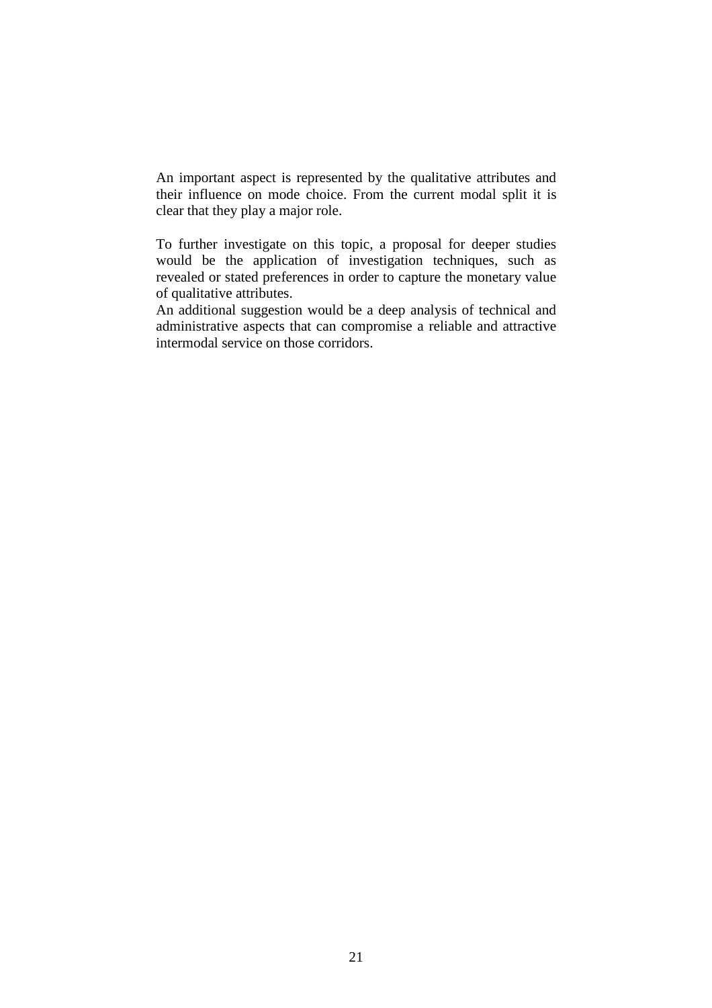An important aspect is represented by the qualitative attributes and their influence on mode choice. From the current modal split it is clear that they play a major role.

To further investigate on this topic, a proposal for deeper studies would be the application of investigation techniques, such as revealed or stated preferences in order to capture the monetary value of qualitative attributes.

An additional suggestion would be a deep analysis of technical and administrative aspects that can compromise a reliable and attractive intermodal service on those corridors.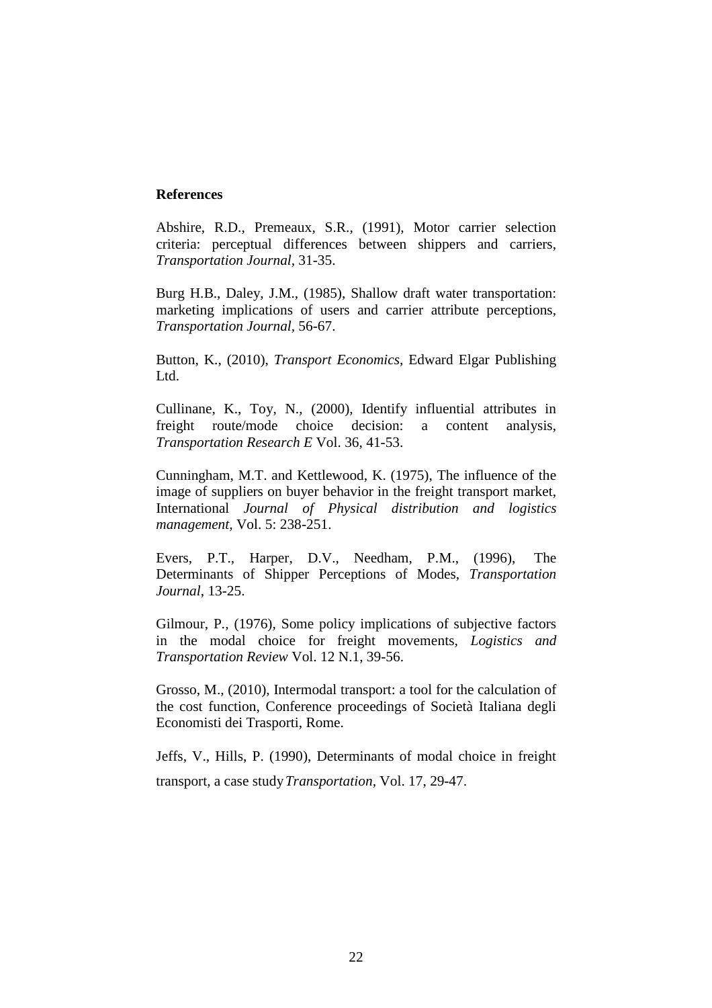### **References**

Abshire, R.D., Premeaux, S.R., (1991), Motor carrier selection criteria: perceptual differences between shippers and carriers, *Transportation Journal,* 31-35.

Burg H.B., Daley, J.M., (1985), Shallow draft water transportation: marketing implications of users and carrier attribute perceptions, *Transportation Journal,* 56-67.

Button, K., (2010), *Transport Economics*, Edward Elgar Publishing L<sub>td</sub>

Cullinane, K., Toy, N., (2000), Identify influential attributes in freight route/mode choice decision: a content analysis, *Transportation Research E* Vol. 36, 41-53.

Cunningham, M.T. and Kettlewood, K. (1975), The influence of the image of suppliers on buyer behavior in the freight transport market, International *Journal of Physical distribution and logistics management*, Vol. 5: 238-251.

Evers, P.T., Harper, D.V., Needham, P.M., (1996), The Determinants of Shipper Perceptions of Modes, *Transportation Journal*, 13-25.

Gilmour, P., (1976), Some policy implications of subjective factors in the modal choice for freight movements*, Logistics and Transportation Review* Vol. 12 N.1, 39-56.

Grosso, M., (2010), Intermodal transport: a tool for the calculation of the cost function, Conference proceedings of Società Italiana degli Economisti dei Trasporti, Rome.

Jeffs, V., Hills, P. (1990), Determinants of modal choice in freight transport, a case study*Transportation,* Vol. 17, 29-47.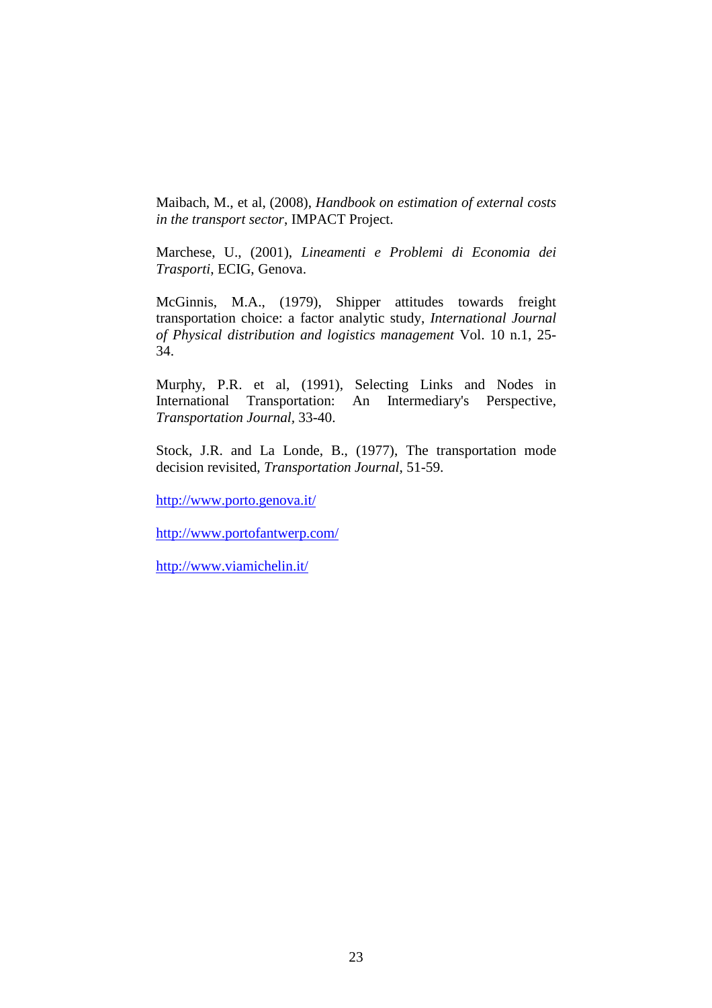Maibach, M., et al, (2008), *Handbook on estimation of external costs in the transport sector*, IMPACT Project.

Marchese, U., (2001), *Lineamenti e Problemi di Economia dei Trasporti*, ECIG, Genova.

McGinnis, M.A., (1979), Shipper attitudes towards freight transportation choice: a factor analytic study, *International Journal of Physical distribution and logistics management* Vol. 10 n.1, 25- 34.

Murphy, P.R. et al, (1991), Selecting Links and Nodes in International Transportation: An Intermediary's Perspective, *Transportation Journal,* 33-40.

Stock, J.R. and La Londe, B., (1977), The transportation mode decision revisited, *Transportation Journal*, 51-59.

http://www.porto.genova.it/

http://www.portofantwerp.com/

http://www.viamichelin.it/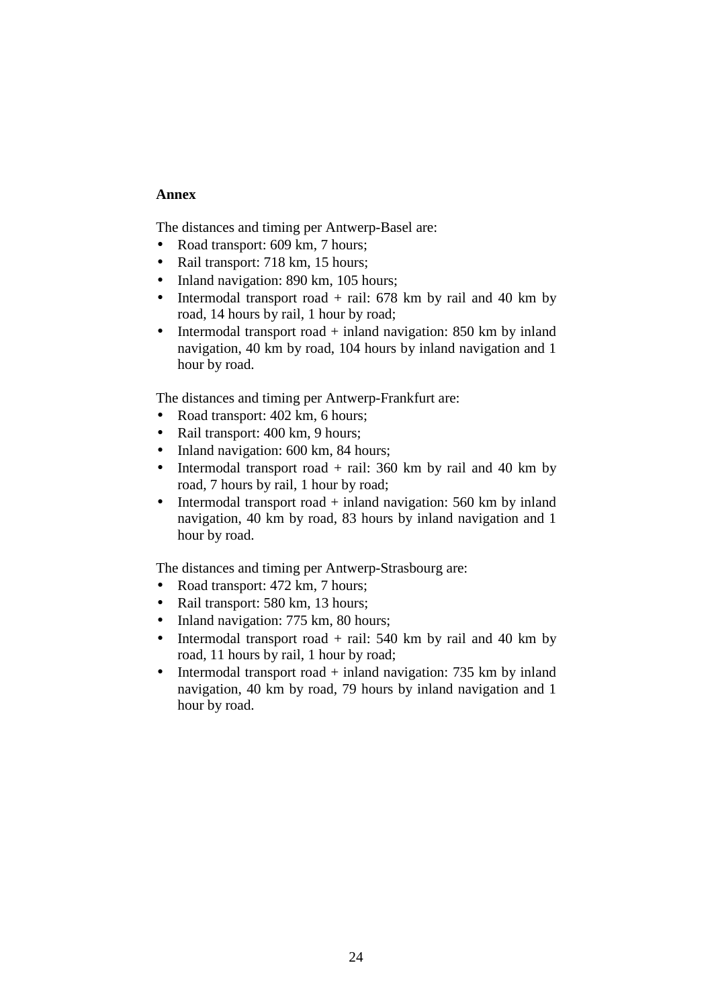# **Annex**

The distances and timing per Antwerp-Basel are:

- Road transport: 609 km, 7 hours:
- Rail transport: 718 km, 15 hours;
- Inland navigation: 890 km, 105 hours;
- Intermodal transport road + rail: 678 km by rail and 40 km by road, 14 hours by rail, 1 hour by road;
- Intermodal transport road  $+$  inland navigation: 850 km by inland navigation, 40 km by road, 104 hours by inland navigation and 1 hour by road.

The distances and timing per Antwerp-Frankfurt are:

- Road transport: 402 km, 6 hours;
- Rail transport: 400 km, 9 hours;
- Inland navigation: 600 km, 84 hours;
- Intermodal transport road  $+$  rail: 360 km by rail and 40 km by road, 7 hours by rail, 1 hour by road;
- Intermodal transport road  $+$  inland navigation: 560 km by inland navigation, 40 km by road, 83 hours by inland navigation and 1 hour by road.

The distances and timing per Antwerp-Strasbourg are:

- Road transport: 472 km, 7 hours;
- Rail transport: 580 km, 13 hours;
- Inland navigation: 775 km, 80 hours;
- Intermodal transport road  $+$  rail: 540 km by rail and 40 km by road, 11 hours by rail, 1 hour by road;
- Intermodal transport road  $+$  inland navigation: 735 km by inland navigation, 40 km by road, 79 hours by inland navigation and 1 hour by road.